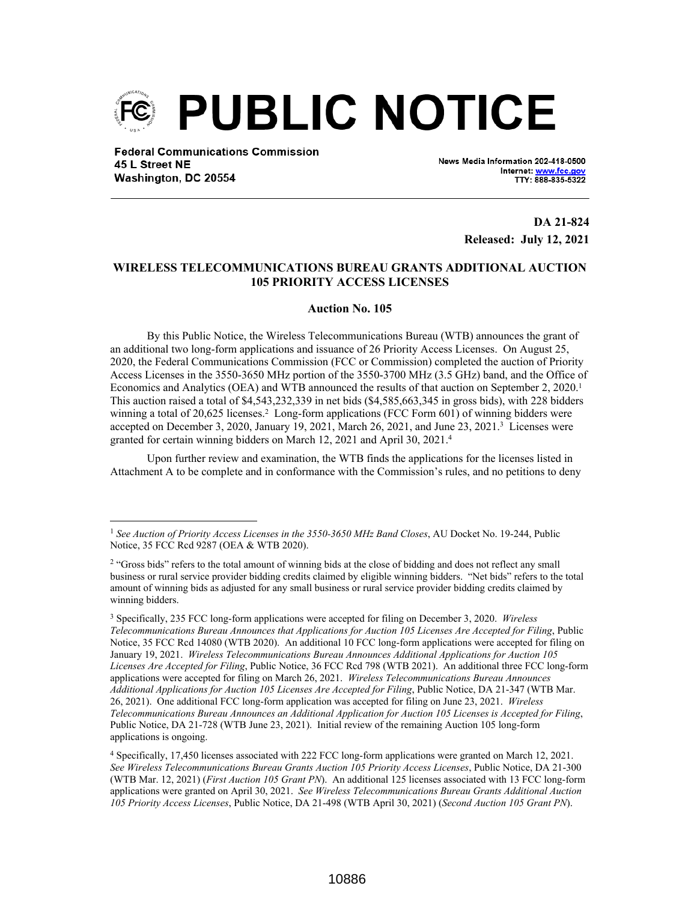

**Federal Communications Commission** 45 L Street NE Washington, DC 20554

News Media Information 202-418-0500 Internet: www.fcc.g TTY: 888-835-5322

> **DA 21-824 Released: July 12, 2021**

## **WIRELESS TELECOMMUNICATIONS BUREAU GRANTS ADDITIONAL AUCTION 105 PRIORITY ACCESS LICENSES**

## **Auction No. 105**

By this Public Notice, the Wireless Telecommunications Bureau (WTB) announces the grant of an additional two long-form applications and issuance of 26 Priority Access Licenses. On August 25, 2020, the Federal Communications Commission (FCC or Commission) completed the auction of Priority Access Licenses in the 3550-3650 MHz portion of the 3550-3700 MHz (3.5 GHz) band, and the Office of Economics and Analytics (OEA) and WTB announced the results of that auction on September 2, 2020.<sup>1</sup> This auction raised a total of \$4,543,232,339 in net bids (\$4,585,663,345 in gross bids), with 228 bidders winning a total of 20,625 licenses.<sup>2</sup> Long-form applications (FCC Form 601) of winning bidders were accepted on December 3, 2020, January 19, 2021, March 26, 2021, and June 23, 2021.<sup>3</sup> Licenses were granted for certain winning bidders on March 12, 2021 and April 30, 2021.<sup>4</sup>

Upon further review and examination, the WTB finds the applications for the licenses listed in Attachment A to be complete and in conformance with the Commission's rules, and no petitions to deny

<sup>1</sup> *See Auction of Priority Access Licenses in the 3550-3650 MHz Band Closes*, AU Docket No. 19-244, Public Notice, 35 FCC Rcd 9287 (OEA & WTB 2020).

<sup>&</sup>lt;sup>2</sup> "Gross bids" refers to the total amount of winning bids at the close of bidding and does not reflect any small business or rural service provider bidding credits claimed by eligible winning bidders. "Net bids" refers to the total amount of winning bids as adjusted for any small business or rural service provider bidding credits claimed by winning bidders.

<sup>3</sup> Specifically, 235 FCC long-form applications were accepted for filing on December 3, 2020. *Wireless Telecommunications Bureau Announces that Applications for Auction 105 Licenses Are Accepted for Filing*, Public Notice, 35 FCC Rcd 14080 (WTB 2020). An additional 10 FCC long-form applications were accepted for filing on January 19, 2021. *Wireless Telecommunications Bureau Announces Additional Applications for Auction 105 Licenses Are Accepted for Filing*, Public Notice, 36 FCC Rcd 798 (WTB 2021). An additional three FCC long-form applications were accepted for filing on March 26, 2021. *Wireless Telecommunications Bureau Announces Additional Applications for Auction 105 Licenses Are Accepted for Filing*, Public Notice, DA 21-347 (WTB Mar. 26, 2021). One additional FCC long-form application was accepted for filing on June 23, 2021. *Wireless Telecommunications Bureau Announces an Additional Application for Auction 105 Licenses is Accepted for Filing*, Public Notice, DA 21-728 (WTB June 23, 2021). Initial review of the remaining Auction 105 long-form applications is ongoing.

<sup>4</sup> Specifically, 17,450 licenses associated with 222 FCC long-form applications were granted on March 12, 2021. *See Wireless Telecommunications Bureau Grants Auction 105 Priority Access Licenses*, Public Notice, DA 21-300 (WTB Mar. 12, 2021) (*First Auction 105 Grant PN*). An additional 125 licenses associated with 13 FCC long-form applications were granted on April 30, 2021. *See Wireless Telecommunications Bureau Grants Additional Auction 105 Priority Access Licenses*, Public Notice, DA 21-498 (WTB April 30, 2021) (*Second Auction 105 Grant PN*).